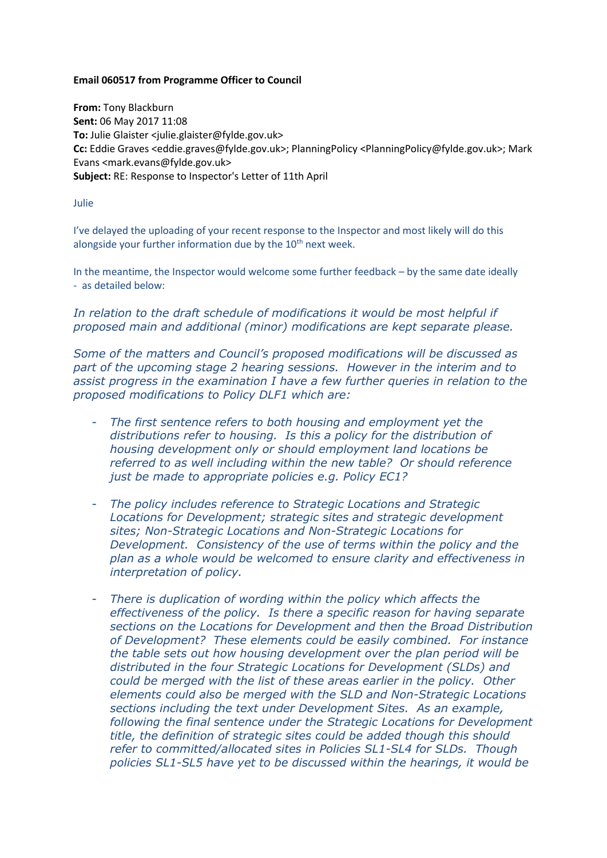## **Email 060517 from Programme Officer to Council**

**From:** Tony Blackburn **Sent:** 06 May 2017 11:08 **To:** Julie Glaister <julie.glaister@fylde.gov.uk> **Cc:** Eddie Graves <eddie.graves@fylde.gov.uk>; PlanningPolicy <PlanningPolicy@fylde.gov.uk>; Mark Evans <mark.evans@fylde.gov.uk> **Subject:** RE: Response to Inspector's Letter of 11th April

## Julie

I've delayed the uploading of your recent response to the Inspector and most likely will do this alongside your further information due by the  $10<sup>th</sup>$  next week.

In the meantime, the Inspector would welcome some further feedback – by the same date ideally - as detailed below:

In relation to the draft schedule of modifications it would be most helpful if *proposed main and additional (minor) modifications are kept separate please.*

*Some of the matters and Council's proposed modifications will be discussed as part of the upcoming stage 2 hearing sessions. However in the interim and to assist progress in the examination I have a few further queries in relation to the proposed modifications to Policy DLF1 which are:*

- *The first sentence refers to both housing and employment yet the distributions refer to housing. Is this a policy for the distribution of housing development only or should employment land locations be referred to as well including within the new table? Or should reference just be made to appropriate policies e.g. Policy EC1?*
- *The policy includes reference to Strategic Locations and Strategic Locations for Development; strategic sites and strategic development sites; Non-Strategic Locations and Non-Strategic Locations for Development. Consistency of the use of terms within the policy and the plan as a whole would be welcomed to ensure clarity and effectiveness in interpretation of policy.*
- *There is duplication of wording within the policy which affects the effectiveness of the policy. Is there a specific reason for having separate sections on the Locations for Development and then the Broad Distribution of Development? These elements could be easily combined. For instance the table sets out how housing development over the plan period will be distributed in the four Strategic Locations for Development (SLDs) and could be merged with the list of these areas earlier in the policy. Other elements could also be merged with the SLD and Non-Strategic Locations sections including the text under Development Sites. As an example, following the final sentence under the Strategic Locations for Development title, the definition of strategic sites could be added though this should refer to committed/allocated sites in Policies SL1-SL4 for SLDs. Though policies SL1-SL5 have yet to be discussed within the hearings, it would be*